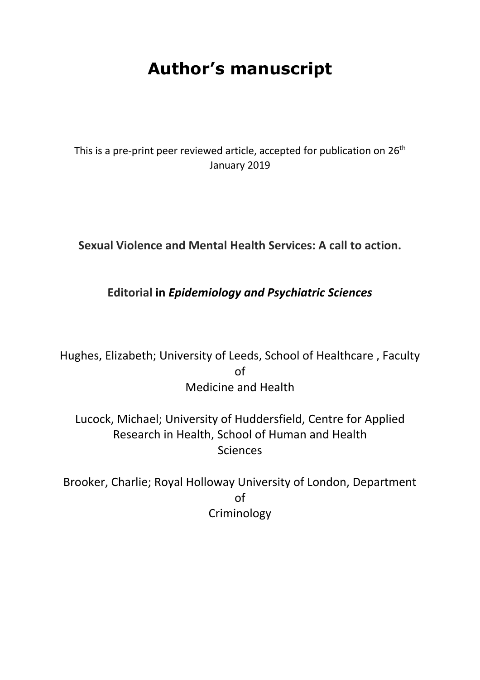# **Author's manuscript**

This is a pre-print peer reviewed article, accepted for publication on 26<sup>th</sup> January 2019

**Sexual Violence and Mental Health Services: A call to action.**

## **Editorial in** *Epidemiology and Psychiatric Sciences*

Hughes, Elizabeth; University of Leeds, School of Healthcare , Faculty of Medicine and Health

Lucock, Michael; University of Huddersfield, Centre for Applied Research in Health, School of Human and Health **Sciences** 

Brooker, Charlie; Royal Holloway University of London, Department of Criminology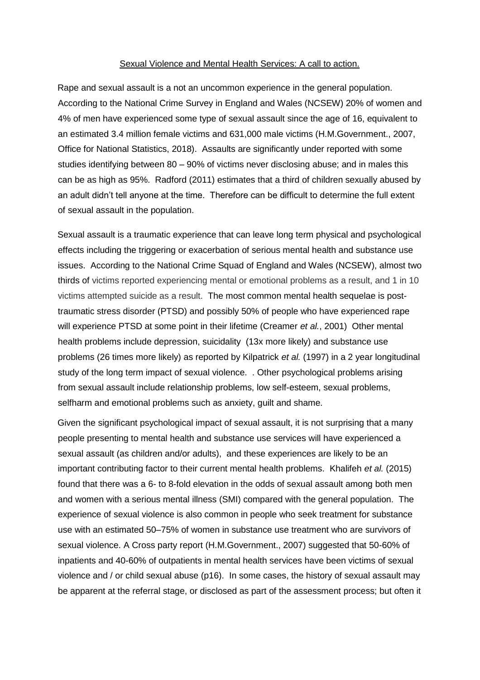#### Sexual Violence and Mental Health Services: A call to action.

Rape and sexual assault is a not an uncommon experience in the general population. According to the National Crime Survey in England and Wales (NCSEW) 20% of women and 4% of men have experienced some type of sexual assault since the age of 16, equivalent to an estimated 3.4 million female victims and 631,000 male victims (H.M.Government., 2007, Office for National Statistics, 2018). Assaults are significantly under reported with some studies identifying between 80 – 90% of victims never disclosing abuse; and in males this can be as high as 95%. Radford (2011) estimates that a third of children sexually abused by an adult didn't tell anyone at the time. Therefore can be difficult to determine the full extent of sexual assault in the population.

Sexual assault is a traumatic experience that can leave long term physical and psychological effects including the triggering or exacerbation of serious mental health and substance use issues. According to the National Crime Squad of England and Wales (NCSEW), almost two thirds of victims reported experiencing mental or emotional problems as a result, and 1 in 10 victims attempted suicide as a result. The most common mental health sequelae is posttraumatic stress disorder (PTSD) and possibly 50% of people who have experienced rape will experience PTSD at some point in their lifetime (Creamer *et al.*, 2001) Other mental health problems include depression, suicidality (13x more likely) and substance use problems (26 times more likely) as reported by Kilpatrick *et al.* (1997) in a 2 year longitudinal study of the long term impact of sexual violence. . Other psychological problems arising from sexual assault include relationship problems, low self-esteem, sexual problems, selfharm and emotional problems such as anxiety, guilt and shame.

Given the significant psychological impact of sexual assault, it is not surprising that a many people presenting to mental health and substance use services will have experienced a sexual assault (as children and/or adults), and these experiences are likely to be an important contributing factor to their current mental health problems. Khalifeh *et al.* (2015) found that there was a 6- to 8-fold elevation in the odds of sexual assault among both men and women with a serious mental illness (SMI) compared with the general population. The experience of sexual violence is also common in people who seek treatment for substance use with an estimated 50–75% of women in substance use treatment who are survivors of sexual violence. A Cross party report (H.M.Government., 2007) suggested that 50-60% of inpatients and 40-60% of outpatients in mental health services have been victims of sexual violence and / or child sexual abuse (p16). In some cases, the history of sexual assault may be apparent at the referral stage, or disclosed as part of the assessment process; but often it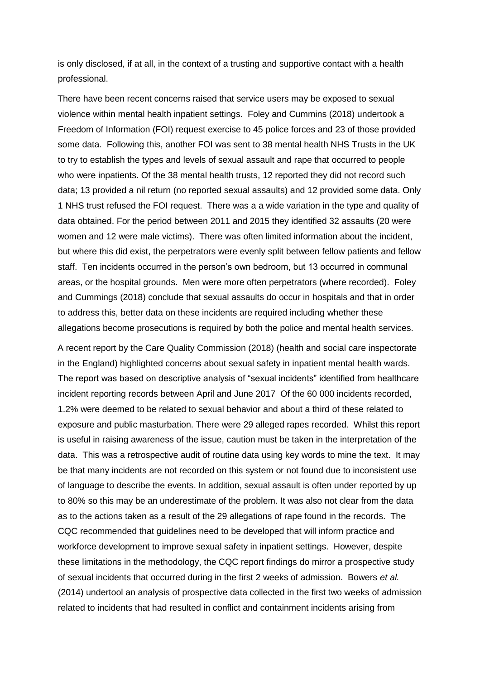is only disclosed, if at all, in the context of a trusting and supportive contact with a health professional.

There have been recent concerns raised that service users may be exposed to sexual violence within mental health inpatient settings. Foley and Cummins (2018) undertook a Freedom of Information (FOI) request exercise to 45 police forces and 23 of those provided some data. Following this, another FOI was sent to 38 mental health NHS Trusts in the UK to try to establish the types and levels of sexual assault and rape that occurred to people who were inpatients. Of the 38 mental health trusts, 12 reported they did not record such data; 13 provided a nil return (no reported sexual assaults) and 12 provided some data. Only 1 NHS trust refused the FOI request. There was a a wide variation in the type and quality of data obtained. For the period between 2011 and 2015 they identified 32 assaults (20 were women and 12 were male victims). There was often limited information about the incident, but where this did exist, the perpetrators were evenly split between fellow patients and fellow staff. Ten incidents occurred in the person's own bedroom, but 13 occurred in communal areas, or the hospital grounds. Men were more often perpetrators (where recorded). Foley and Cummings (2018) conclude that sexual assaults do occur in hospitals and that in order to address this, better data on these incidents are required including whether these allegations become prosecutions is required by both the police and mental health services.

A recent report by the Care Quality Commission (2018) (health and social care inspectorate in the England) highlighted concerns about sexual safety in inpatient mental health wards. The report was based on descriptive analysis of "sexual incidents" identified from healthcare incident reporting records between April and June 2017 Of the 60 000 incidents recorded, 1.2% were deemed to be related to sexual behavior and about a third of these related to exposure and public masturbation. There were 29 alleged rapes recorded. Whilst this report is useful in raising awareness of the issue, caution must be taken in the interpretation of the data. This was a retrospective audit of routine data using key words to mine the text. It may be that many incidents are not recorded on this system or not found due to inconsistent use of language to describe the events. In addition, sexual assault is often under reported by up to 80% so this may be an underestimate of the problem. It was also not clear from the data as to the actions taken as a result of the 29 allegations of rape found in the records. The CQC recommended that guidelines need to be developed that will inform practice and workforce development to improve sexual safety in inpatient settings. However, despite these limitations in the methodology, the CQC report findings do mirror a prospective study of sexual incidents that occurred during in the first 2 weeks of admission. Bowers *et al.* (2014) undertool an analysis of prospective data collected in the first two weeks of admission related to incidents that had resulted in conflict and containment incidents arising from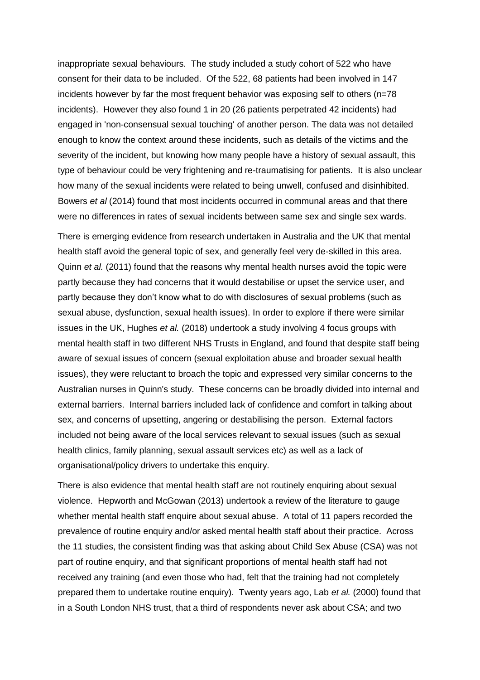inappropriate sexual behaviours. The study included a study cohort of 522 who have consent for their data to be included. Of the 522, 68 patients had been involved in 147 incidents however by far the most frequent behavior was exposing self to others ( $n=78$ ) incidents). However they also found 1 in 20 (26 patients perpetrated 42 incidents) had engaged in 'non-consensual sexual touching' of another person. The data was not detailed enough to know the context around these incidents, such as details of the victims and the severity of the incident, but knowing how many people have a history of sexual assault, this type of behaviour could be very frightening and re-traumatising for patients. It is also unclear how many of the sexual incidents were related to being unwell, confused and disinhibited. Bowers *et al* (2014) found that most incidents occurred in communal areas and that there were no differences in rates of sexual incidents between same sex and single sex wards.

There is emerging evidence from research undertaken in Australia and the UK that mental health staff avoid the general topic of sex, and generally feel very de-skilled in this area. Quinn *et al.* (2011) found that the reasons why mental health nurses avoid the topic were partly because they had concerns that it would destabilise or upset the service user, and partly because they don't know what to do with disclosures of sexual problems (such as sexual abuse, dysfunction, sexual health issues). In order to explore if there were similar issues in the UK, Hughes *et al.* (2018) undertook a study involving 4 focus groups with mental health staff in two different NHS Trusts in England, and found that despite staff being aware of sexual issues of concern (sexual exploitation abuse and broader sexual health issues), they were reluctant to broach the topic and expressed very similar concerns to the Australian nurses in Quinn's study. These concerns can be broadly divided into internal and external barriers. Internal barriers included lack of confidence and comfort in talking about sex, and concerns of upsetting, angering or destabilising the person. External factors included not being aware of the local services relevant to sexual issues (such as sexual health clinics, family planning, sexual assault services etc) as well as a lack of organisational/policy drivers to undertake this enquiry.

There is also evidence that mental health staff are not routinely enquiring about sexual violence. Hepworth and McGowan (2013) undertook a review of the literature to gauge whether mental health staff enquire about sexual abuse. A total of 11 papers recorded the prevalence of routine enquiry and/or asked mental health staff about their practice. Across the 11 studies, the consistent finding was that asking about Child Sex Abuse (CSA) was not part of routine enquiry, and that significant proportions of mental health staff had not received any training (and even those who had, felt that the training had not completely prepared them to undertake routine enquiry). Twenty years ago, Lab *et al.* (2000) found that in a South London NHS trust, that a third of respondents never ask about CSA; and two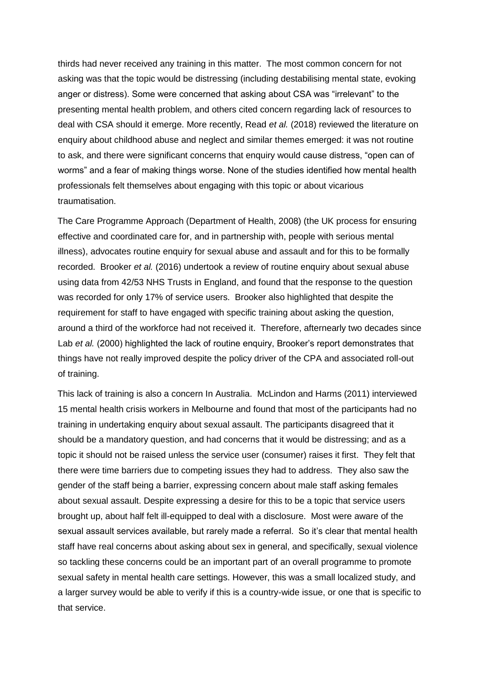thirds had never received any training in this matter. The most common concern for not asking was that the topic would be distressing (including destabilising mental state, evoking anger or distress). Some were concerned that asking about CSA was "irrelevant" to the presenting mental health problem, and others cited concern regarding lack of resources to deal with CSA should it emerge. More recently, Read *et al.* (2018) reviewed the literature on enquiry about childhood abuse and neglect and similar themes emerged: it was not routine to ask, and there were significant concerns that enquiry would cause distress, "open can of worms" and a fear of making things worse. None of the studies identified how mental health professionals felt themselves about engaging with this topic or about vicarious traumatisation.

The Care Programme Approach (Department of Health, 2008) (the UK process for ensuring effective and coordinated care for, and in partnership with, people with serious mental illness), advocates routine enquiry for sexual abuse and assault and for this to be formally recorded. Brooker *et al.* (2016) undertook a review of routine enquiry about sexual abuse using data from 42/53 NHS Trusts in England, and found that the response to the question was recorded for only 17% of service users. Brooker also highlighted that despite the requirement for staff to have engaged with specific training about asking the question, around a third of the workforce had not received it. Therefore, afternearly two decades since Lab *et al.* (2000) highlighted the lack of routine enquiry, Brooker's report demonstrates that things have not really improved despite the policy driver of the CPA and associated roll-out of training.

This lack of training is also a concern In Australia. McLindon and Harms (2011) interviewed 15 mental health crisis workers in Melbourne and found that most of the participants had no training in undertaking enquiry about sexual assault. The participants disagreed that it should be a mandatory question, and had concerns that it would be distressing; and as a topic it should not be raised unless the service user (consumer) raises it first. They felt that there were time barriers due to competing issues they had to address. They also saw the gender of the staff being a barrier, expressing concern about male staff asking females about sexual assault. Despite expressing a desire for this to be a topic that service users brought up, about half felt ill-equipped to deal with a disclosure. Most were aware of the sexual assault services available, but rarely made a referral. So it's clear that mental health staff have real concerns about asking about sex in general, and specifically, sexual violence so tackling these concerns could be an important part of an overall programme to promote sexual safety in mental health care settings. However, this was a small localized study, and a larger survey would be able to verify if this is a country-wide issue, or one that is specific to that service.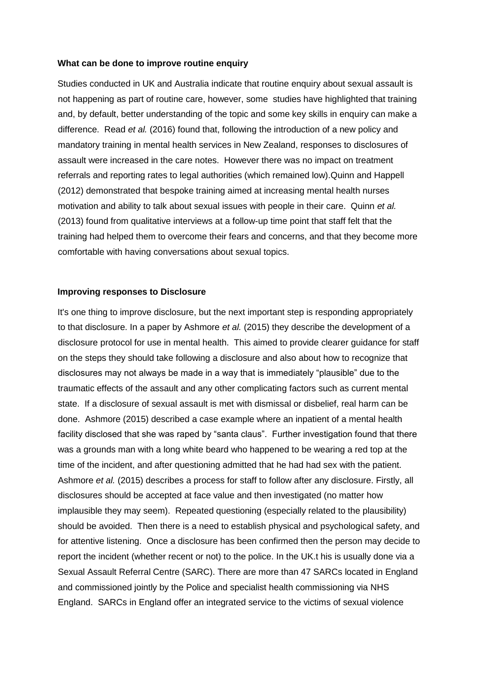#### **What can be done to improve routine enquiry**

Studies conducted in UK and Australia indicate that routine enquiry about sexual assault is not happening as part of routine care, however, some studies have highlighted that training and, by default, better understanding of the topic and some key skills in enquiry can make a difference. Read *et al.* (2016) found that, following the introduction of a new policy and mandatory training in mental health services in New Zealand, responses to disclosures of assault were increased in the care notes. However there was no impact on treatment referrals and reporting rates to legal authorities (which remained low).Quinn and Happell (2012) demonstrated that bespoke training aimed at increasing mental health nurses motivation and ability to talk about sexual issues with people in their care. Quinn *et al.* (2013) found from qualitative interviews at a follow-up time point that staff felt that the training had helped them to overcome their fears and concerns, and that they become more comfortable with having conversations about sexual topics.

#### **Improving responses to Disclosure**

It's one thing to improve disclosure, but the next important step is responding appropriately to that disclosure. In a paper by Ashmore *et al.* (2015) they describe the development of a disclosure protocol for use in mental health. This aimed to provide clearer guidance for staff on the steps they should take following a disclosure and also about how to recognize that disclosures may not always be made in a way that is immediately "plausible" due to the traumatic effects of the assault and any other complicating factors such as current mental state. If a disclosure of sexual assault is met with dismissal or disbelief, real harm can be done. Ashmore (2015) described a case example where an inpatient of a mental health facility disclosed that she was raped by "santa claus". Further investigation found that there was a grounds man with a long white beard who happened to be wearing a red top at the time of the incident, and after questioning admitted that he had had sex with the patient. Ashmore *et al.* (2015) describes a process for staff to follow after any disclosure. Firstly, all disclosures should be accepted at face value and then investigated (no matter how implausible they may seem). Repeated questioning (especially related to the plausibility) should be avoided. Then there is a need to establish physical and psychological safety, and for attentive listening. Once a disclosure has been confirmed then the person may decide to report the incident (whether recent or not) to the police. In the UK.t his is usually done via a Sexual Assault Referral Centre (SARC). There are more than 47 SARCs located in England and commissioned jointly by the Police and specialist health commissioning via NHS England. SARCs in England offer an integrated service to the victims of sexual violence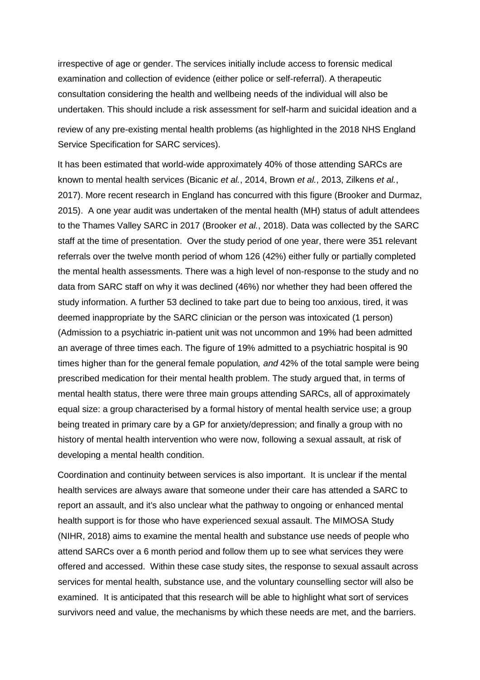irrespective of age or gender. The services initially include access to forensic medical examination and collection of evidence (either police or self-referral). A therapeutic consultation considering the health and wellbeing needs of the individual will also be undertaken. This should include a risk assessment for self-harm and suicidal ideation and a review of any pre-existing mental health problems (as highlighted in the 2018 NHS England Service Specification for SARC services).

It has been estimated that world-wide approximately 40% of those attending SARCs are known to mental health services (Bicanic *et al.*, 2014, Brown *et al.*, 2013, Zilkens *et al.*, 2017). More recent research in England has concurred with this figure (Brooker and Durmaz, 2015). A one year audit was undertaken of the mental health (MH) status of adult attendees to the Thames Valley SARC in 2017 (Brooker *et al.*, 2018). Data was collected by the SARC staff at the time of presentation. Over the study period of one year, there were 351 relevant referrals over the twelve month period of whom 126 (42%) either fully or partially completed the mental health assessments. There was a high level of non-response to the study and no data from SARC staff on why it was declined (46%) nor whether they had been offered the study information. A further 53 declined to take part due to being too anxious, tired, it was deemed inappropriate by the SARC clinician or the person was intoxicated (1 person) (Admission to a psychiatric in-patient unit was not uncommon and 19% had been admitted an average of three times each. The figure of 19% admitted to a psychiatric hospital is 90 times higher than for the general female population*, and* 42% of the total sample were being prescribed medication for their mental health problem. The study argued that, in terms of mental health status, there were three main groups attending SARCs, all of approximately equal size: a group characterised by a formal history of mental health service use; a group being treated in primary care by a GP for anxiety/depression; and finally a group with no history of mental health intervention who were now, following a sexual assault, at risk of developing a mental health condition.

Coordination and continuity between services is also important. It is unclear if the mental health services are always aware that someone under their care has attended a SARC to report an assault, and it's also unclear what the pathway to ongoing or enhanced mental health support is for those who have experienced sexual assault. The MIMOSA Study (NIHR, 2018) aims to examine the mental health and substance use needs of people who attend SARCs over a 6 month period and follow them up to see what services they were offered and accessed. Within these case study sites, the response to sexual assault across services for mental health, substance use, and the voluntary counselling sector will also be examined. It is anticipated that this research will be able to highlight what sort of services survivors need and value, the mechanisms by which these needs are met, and the barriers.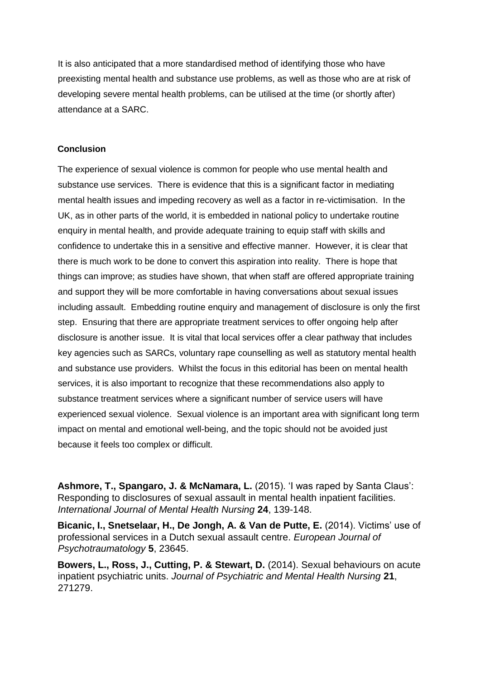It is also anticipated that a more standardised method of identifying those who have preexisting mental health and substance use problems, as well as those who are at risk of developing severe mental health problems, can be utilised at the time (or shortly after) attendance at a SARC.

### **Conclusion**

The experience of sexual violence is common for people who use mental health and substance use services. There is evidence that this is a significant factor in mediating mental health issues and impeding recovery as well as a factor in re-victimisation. In the UK, as in other parts of the world, it is embedded in national policy to undertake routine enquiry in mental health, and provide adequate training to equip staff with skills and confidence to undertake this in a sensitive and effective manner. However, it is clear that there is much work to be done to convert this aspiration into reality. There is hope that things can improve; as studies have shown, that when staff are offered appropriate training and support they will be more comfortable in having conversations about sexual issues including assault. Embedding routine enquiry and management of disclosure is only the first step. Ensuring that there are appropriate treatment services to offer ongoing help after disclosure is another issue. It is vital that local services offer a clear pathway that includes key agencies such as SARCs, voluntary rape counselling as well as statutory mental health and substance use providers. Whilst the focus in this editorial has been on mental health services, it is also important to recognize that these recommendations also apply to substance treatment services where a significant number of service users will have experienced sexual violence. Sexual violence is an important area with significant long term impact on mental and emotional well-being, and the topic should not be avoided just because it feels too complex or difficult.

**Ashmore, T., Spangaro, J. & McNamara, L.** (2015). 'I was raped by Santa Claus': Responding to disclosures of sexual assault in mental health inpatient facilities. *International Journal of Mental Health Nursing* **24**, 139-148.

**Bicanic, I., Snetselaar, H., De Jongh, A. & Van de Putte, E.** (2014). Victims' use of professional services in a Dutch sexual assault centre. *European Journal of Psychotraumatology* **5**, 23645.

**Bowers, L., Ross, J., Cutting, P. & Stewart, D.** (2014). Sexual behaviours on acute inpatient psychiatric units. *Journal of Psychiatric and Mental Health Nursing* **21**, 271279.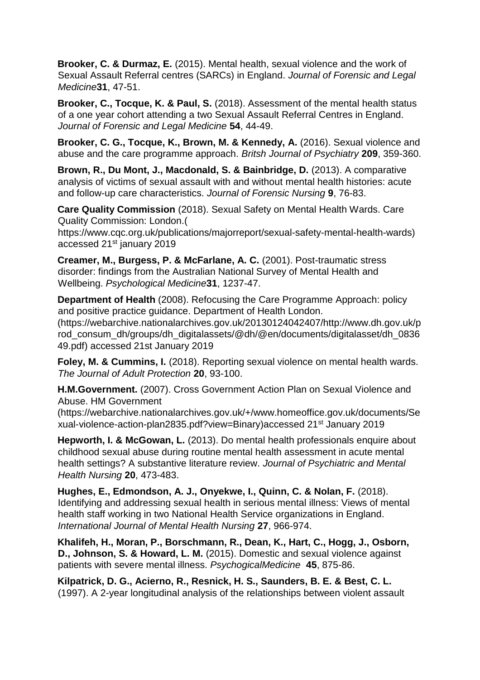**Brooker, C. & Durmaz, E.** (2015). Mental health, sexual violence and the work of Sexual Assault Referral centres (SARCs) in England. *Journal of Forensic and Legal Medicine***31**, 47-51.

**Brooker, C., Tocque, K. & Paul, S.** (2018). Assessment of the mental health status of a one year cohort attending a two Sexual Assault Referral Centres in England. *Journal of Forensic and Legal Medicine* **54**, 44-49.

**Brooker, C. G., Tocque, K., Brown, M. & Kennedy, A.** (2016). Sexual violence and abuse and the care programme approach. *Britsh Journal of Psychiatry* **209**, 359-360.

**Brown, R., Du Mont, J., Macdonald, S. & Bainbridge, D.** (2013). A comparative analysis of victims of sexual assault with and without mental health histories: acute and follow-up care characteristics. *Journal of Forensic Nursing* **9**, 76-83.

**Care Quality Commission** (2018). Sexual Safety on Mental Health Wards. Care Quality Commission: London.(

https://www.cqc.org.uk/publications/majorreport/sexual-safety-mental-health-wards) accessed 21<sup>st</sup> january 2019

**Creamer, M., Burgess, P. & McFarlane, A. C.** (2001). Post-traumatic stress disorder: findings from the Australian National Survey of Mental Health and Wellbeing. *Psychological Medicine***31**, 1237-47.

**Department of Health** (2008). Refocusing the Care Programme Approach: policy and positive practice guidance. Department of Health London. (https://webarchive.nationalarchives.gov.uk/20130124042407/http://www.dh.gov.uk/p rod\_consum\_dh/groups/dh\_digitalassets/@dh/@en/documents/digitalasset/dh\_0836 49.pdf) accessed 21st January 2019

**Foley, M. & Cummins, I.** (2018). Reporting sexual violence on mental health wards. *The Journal of Adult Protection* **20**, 93-100.

**H.M.Government.** (2007). Cross Government Action Plan on Sexual Violence and Abuse. HM Government

(https://webarchive.nationalarchives.gov.uk/+/www.homeoffice.gov.uk/documents/Se xual-violence-action-plan2835.pdf?view=Binary)accessed 21st January 2019

**Hepworth, I. & McGowan, L.** (2013). Do mental health professionals enquire about childhood sexual abuse during routine mental health assessment in acute mental health settings? A substantive literature review. *Journal of Psychiatric and Mental Health Nursing* **20**, 473-483.

**Hughes, E., Edmondson, A. J., Onyekwe, I., Quinn, C. & Nolan, F.** (2018). Identifying and addressing sexual health in serious mental illness: Views of mental health staff working in two National Health Service organizations in England. *International Journal of Mental Health Nursing* **27**, 966-974.

**Khalifeh, H., Moran, P., Borschmann, R., Dean, K., Hart, C., Hogg, J., Osborn, D., Johnson, S. & Howard, L. M.** (2015). Domestic and sexual violence against patients with severe mental illness. *PsychogicalMedicine* **45**, 875-86.

**Kilpatrick, D. G., Acierno, R., Resnick, H. S., Saunders, B. E. & Best, C. L.**  (1997). A 2-year longitudinal analysis of the relationships between violent assault